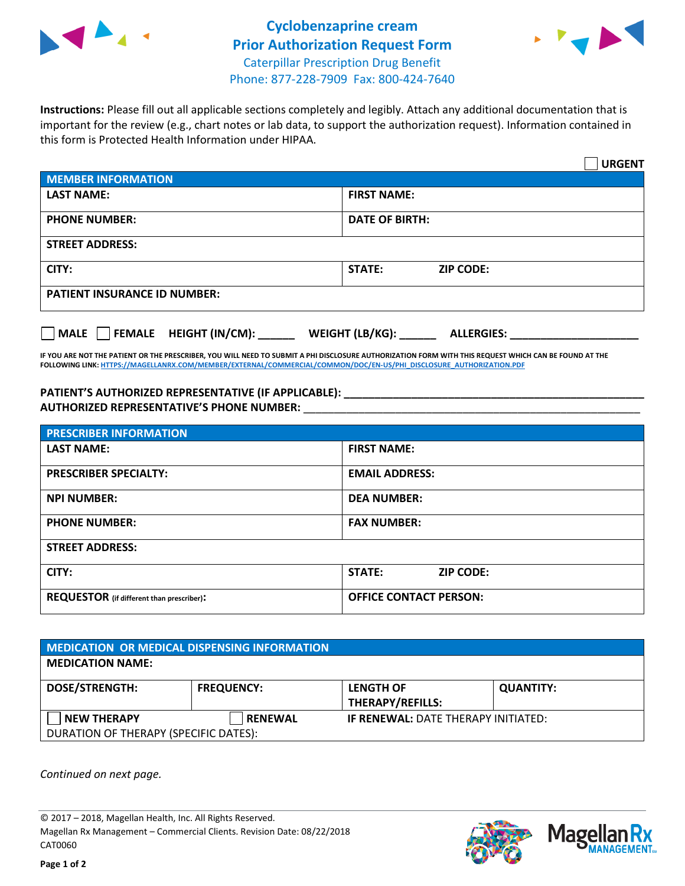



**Instructions:** Please fill out all applicable sections completely and legibly. Attach any additional documentation that is important for the review (e.g., chart notes or lab data, to support the authorization request). Information contained in this form is Protected Health Information under HIPAA.

|                                              | <b>URGENT</b>                        |  |  |  |
|----------------------------------------------|--------------------------------------|--|--|--|
| <b>MEMBER INFORMATION</b>                    |                                      |  |  |  |
| <b>LAST NAME:</b>                            | <b>FIRST NAME:</b>                   |  |  |  |
| <b>PHONE NUMBER:</b>                         | <b>DATE OF BIRTH:</b>                |  |  |  |
| <b>STREET ADDRESS:</b>                       |                                      |  |  |  |
| CITY:                                        | STATE:<br><b>ZIP CODE:</b>           |  |  |  |
| <b>PATIENT INSURANCE ID NUMBER:</b>          |                                      |  |  |  |
| $\Box$ FEMALE HEIGHT (IN/CM):<br><b>MALE</b> | WEIGHT (LB/KG):<br><b>ALLERGIES:</b> |  |  |  |

**IF YOU ARE NOT THE PATIENT OR THE PRESCRIBER, YOU WILL NEED TO SUBMIT A PHI DISCLOSURE AUTHORIZATION FORM WITH THIS REQUEST WHICH CAN BE FOUND AT THE FOLLOWING LINK[: HTTPS://MAGELLANRX.COM/MEMBER/EXTERNAL/COMMERCIAL/COMMON/DOC/EN-US/PHI\\_DISCLOSURE\\_AUTHORIZATION.PDF](https://magellanrx.com/member/external/commercial/common/doc/en-us/PHI_Disclosure_Authorization.pdf)**

**PATIENT'S AUTHORIZED REPRESENTATIVE (IF APPLICABLE): \_\_\_\_\_\_\_\_\_\_\_\_\_\_\_\_\_\_\_\_\_\_\_\_\_\_\_\_\_\_\_\_\_\_\_\_\_\_\_\_\_\_\_\_\_\_\_\_\_ AUTHORIZED REPRESENTATIVE'S PHONE NUMBER:** \_\_\_\_\_\_\_\_\_\_\_\_\_\_\_\_\_\_\_\_\_\_\_\_\_\_\_\_\_\_\_\_\_\_\_\_\_\_\_\_\_\_\_\_\_\_\_\_\_\_\_\_\_\_\_

| <b>PRESCRIBER INFORMATION</b>             |                               |  |  |  |
|-------------------------------------------|-------------------------------|--|--|--|
| <b>LAST NAME:</b>                         | <b>FIRST NAME:</b>            |  |  |  |
| <b>PRESCRIBER SPECIALTY:</b>              | <b>EMAIL ADDRESS:</b>         |  |  |  |
| <b>NPI NUMBER:</b>                        | <b>DEA NUMBER:</b>            |  |  |  |
| <b>PHONE NUMBER:</b>                      | <b>FAX NUMBER:</b>            |  |  |  |
| <b>STREET ADDRESS:</b>                    |                               |  |  |  |
| CITY:                                     | STATE:<br><b>ZIP CODE:</b>    |  |  |  |
| REQUESTOR (if different than prescriber): | <b>OFFICE CONTACT PERSON:</b> |  |  |  |

| <b>MEDICATION OR MEDICAL DISPENSING INFORMATION</b> |                   |                                            |                  |  |  |
|-----------------------------------------------------|-------------------|--------------------------------------------|------------------|--|--|
| <b>MEDICATION NAME:</b>                             |                   |                                            |                  |  |  |
| <b>DOSE/STRENGTH:</b>                               | <b>FREQUENCY:</b> | <b>LENGTH OF</b>                           | <b>QUANTITY:</b> |  |  |
|                                                     |                   | <b>THERAPY/REFILLS:</b>                    |                  |  |  |
| <b>NEW THERAPY</b>                                  | <b>RENEWAL</b>    | <b>IF RENEWAL: DATE THERAPY INITIATED:</b> |                  |  |  |
| DURATION OF THERAPY (SPECIFIC DATES):               |                   |                                            |                  |  |  |

*Continued on next page.*

© 2017 – 2018, Magellan Health, Inc. All Rights Reserved. Magellan Rx Management – Commercial Clients. Revision Date: 08/22/2018 CAT0060